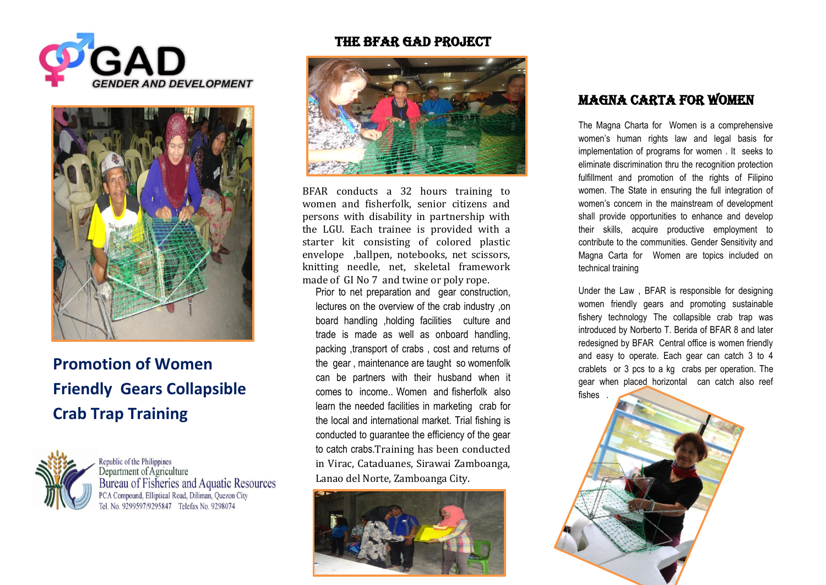



# **Promotion of Women Friendly Gears Collapsible Crab Trap Training**



Republic of the Philippines Department of Agriculture Bureau of Fisheries and Aquatic Resources PCA Compound, Elliptical Road, Diliman, Quezon City Tel. No. 9299597/9295847 Telefax No. 9298074

#### THE BFAR GAD PROJECT



BFAR conducts a 32 hours training to women and fisherfolk, senior citizens and persons with disability in partnership with the LGU. Each trainee is provided with a starter kit consisting of colored plastic envelope ,ballpen, notebooks, net scissors, knitting needle, net, skeletal framework made of GI No 7 and twine or poly rope.

Prior to net preparation and gear construction, lectures on the overview of the crab industry ,on board handling ,holding facilities culture and trade is made as well as onboard handling, packing ,transport of crabs , cost and returns of the gear , maintenance are taught so womenfolk can be partners with their husband when it comes to income.. Women and fisherfolk also learn the needed facilities in marketing crab for the local and international market. Trial fishing is conducted to guarantee the efficiency of the gear to catch crabs.Training has been conducted in Virac, Cataduanes, Sirawai Zamboanga, Lanao del Norte, Zamboanga City.



### Magna Carta For Women

The Magna Charta for Women is a comprehensive women's human rights law and legal basis for implementation of programs for women . It seeks to eliminate discrimination thru the recognition protection fulfillment and promotion of the rights of Filipino women. The State in ensuring the full integration of women's concern in the mainstream of development shall provide opportunities to enhance and develop their skills, acquire productive employment to contribute to the communities. Gender Sensitivity and Magna Carta for Women are topics included on technical training

Under the Law , BFAR is responsible for designing women friendly gears and promoting sustainable fishery technology The collapsible crab trap was introduced by Norberto T. Berida of BFAR 8 and later redesigned by BFAR Central office is women friendly and easy to operate. Each gear can catch 3 to 4 crablets or 3 pcs to a kg crabs per operation. The gear when placed horizontal can catch also reef fishes